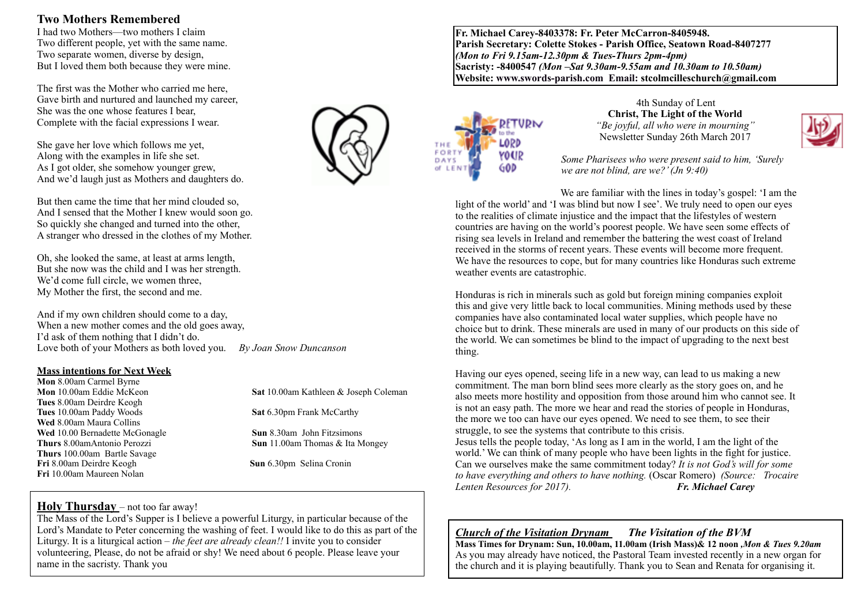## **Two Mothers Remembered**

I had two Mothers—two mothers I claim Two different people, yet with the same name. Two separate women, diverse by design, But I loved them both because they were mine.

The first was the Mother who carried me here, Gave birth and nurtured and launched my career, She was the one whose features I bear, Complete with the facial expressions I wear.

She gave her love which follows me yet, Along with the examples in life she set. As I got older, she somehow younger grew, And we'd laugh just as Mothers and daughters do.

But then came the time that her mind clouded so, And I sensed that the Mother I knew would soon go. So quickly she changed and turned into the other, A stranger who dressed in the clothes of my Mother.

Oh, she looked the same, at least at arms length, But she now was the child and I was her strength. We'd come full circle, we women three, My Mother the first, the second and me.

And if my own children should come to a day, When a new mother comes and the old goes away, I'd ask of them nothing that I didn't do. Love both of your Mothers as both loved you. *By Joan Snow Duncanson*

#### **Mass intentions for Next Week**

**Mon** 8.00am Carmel Byrne **Tues** 8.00am Deirdre Keogh **Tues** 10.00am Paddy Woods **Sat** 6.30pm Frank McCarthy **Wed** 8.00am Maura Collins **Wed** 10.00 Bernadette McGonagle **Sun** 8.30am John Fitzsimons **Thurs** 100.00am Bartle Savage **Fri** 8.00am Deirdre Keogh **Sun** 6.30pm Selina Cronin **Fri** 10.00am Maureen Nolan

**Mon** 10.00am Eddie McKeon **Sat** 10.00am Kathleen & Joseph Coleman

**Thurs** 8.00amAntonio Perozzi **Sun** 11.00am Thomas & Ita Mongey

## **Holy Thursday** – not too far away!

The Mass of the Lord's Supper is I believe a powerful Liturgy, in particular because of the Lord's Mandate to Peter concerning the washing of feet. I would like to do this as part of the Liturgy. It is a liturgical action – *the feet are already clean!!* I invite you to consider volunteering, Please, do not be afraid or shy! We need about 6 people. Please leave your name in the sacristy. Thank you

**Fr. Michael Carey-8403378: Fr. Peter McCarron-8405948. Parish Secretary: Colette Stokes - Parish Office, Seatown Road-8407277**  *(Mon to Fri 9.15am-12.30pm & Tues-Thurs 2pm-4pm)*  **Sacristy: -8400547** *(Mon –Sat 9.30am-9.55am and 10.30am to 10.50am)* **Website: [www.swords-parish.com Email:](http://www.swords-parish.com%20%20email) stcolmcilleschurch@gmail.com**



4th Sunday of Lent **Christ, The Light of the World** *"Be joyful, all who were in mourning"*  Newsletter Sunday 26th March 2017



*Some Pharisees who were present said to him, 'Surely we are not blind, are we?' (Jn 9:40)* 

We are familiar with the lines in today's gospel: 'I am the light of the world' and 'I was blind but now I see'. We truly need to open our eyes to the realities of climate injustice and the impact that the lifestyles of western countries are having on the world's poorest people. We have seen some effects of rising sea levels in Ireland and remember the battering the west coast of Ireland received in the storms of recent years. These events will become more frequent. We have the resources to cope, but for many countries like Honduras such extreme weather events are catastrophic.

Honduras is rich in minerals such as gold but foreign mining companies exploit this and give very little back to local communities. Mining methods used by these companies have also contaminated local water supplies, which people have no choice but to drink. These minerals are used in many of our products on this side of the world. We can sometimes be blind to the impact of upgrading to the next best thing.

Having our eyes opened, seeing life in a new way, can lead to us making a new commitment. The man born blind sees more clearly as the story goes on, and he also meets more hostility and opposition from those around him who cannot see. It is not an easy path. The more we hear and read the stories of people in Honduras, the more we too can have our eyes opened. We need to see them, to see their struggle, to see the systems that contribute to this crisis. Jesus tells the people today, 'As long as I am in the world, I am the light of the world.' We can think of many people who have been lights in the fight for justice. Can we ourselves make the same commitment today? *It is not God's will for some to have everything and others to have nothing.* (Oscar Romero) *(Source: Trocaire Lenten Resources for 2017). Fr. Michael Carey*

*Church of the Visitation Drynam**The Visitation of the BVM* **Mass Times for Drynam: Sun, 10.00am, 11.00am (Irish Mass)& 12 noon** *,Mon & Tues 9.20am* As you may already have noticed, the Pastoral Team invested recently in a new organ for the church and it is playing beautifully. Thank you to Sean and Renata for organising it.